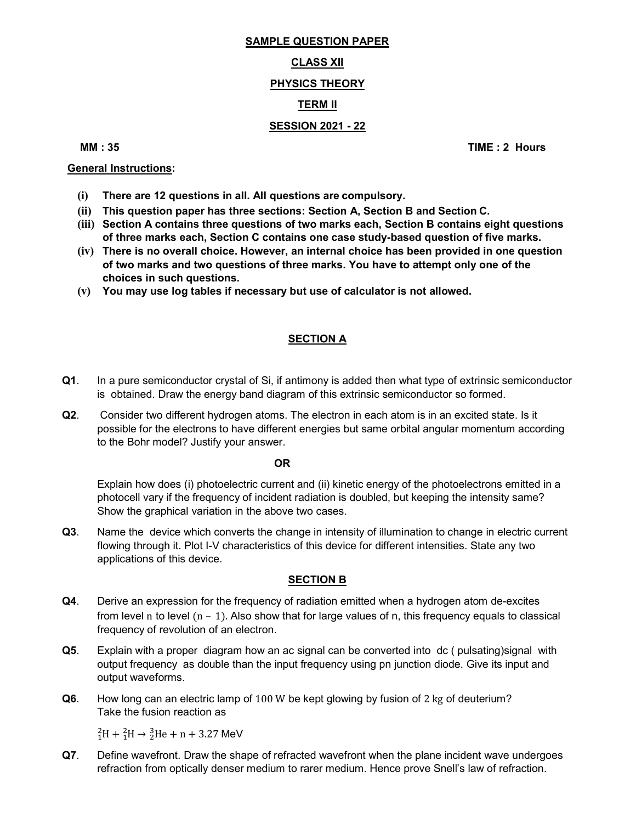# SAMPLE QUESTION PAPER

#### **CLASS XII**

# PHYSICS THEORY

# TERM II

# SESSION 2021 - 22

MM : 35 TIME : 2 Hours

#### General Instructions:

- (i) There are 12 questions in all. All questions are compulsory.
- (ii) This question paper has three sections: Section A, Section B and Section C.
- (iii) Section A contains three questions of two marks each, Section B contains eight questions of three marks each, Section C contains one case study-based question of five marks.
- (iv) There is no overall choice. However, an internal choice has been provided in one question of two marks and two questions of three marks. You have to attempt only one of the choices in such questions.
- (v) You may use log tables if necessary but use of calculator is not allowed.

### SECTION A

- Q1. In a pure semiconductor crystal of Si, if antimony is added then what type of extrinsic semiconductor is obtained. Draw the energy band diagram of this extrinsic semiconductor so formed.
- Q2. Consider two different hydrogen atoms. The electron in each atom is in an excited state. Is it possible for the electrons to have different energies but same orbital angular momentum according to the Bohr model? Justify your answer.

#### **OR** Service of the state of the state of the state of the state of the state of the state of the state of the state of the state of the state of the state of the state of the state of the state of the state of the state o

 Explain how does (i) photoelectric current and (ii) kinetic energy of the photoelectrons emitted in a photocell vary if the frequency of incident radiation is doubled, but keeping the intensity same? Show the graphical variation in the above two cases.

Q3. Name the device which converts the change in intensity of illumination to change in electric current flowing through it. Plot I-V characteristics of this device for different intensities. State any two applications of this device.

## SECTION B

- Q4. Derive an expression for the frequency of radiation emitted when a hydrogen atom de-excites from level n to level  $(n - 1)$ . Also show that for large values of n, this frequency equals to classical frequency of revolution of an electron.
- Q5. Explain with a proper diagram how an ac signal can be converted into dc ( pulsating) signal with output frequency as double than the input frequency using pn junction diode. Give its input and output waveforms.
- Q6. How long can an electric lamp of 100 W be kept glowing by fusion of 2 kg of deuterium? Take the fusion reaction as

 ${}^{2}_{1}H + {}^{2}_{1}H \rightarrow {}^{3}_{2}He + n + 3.27$  MeV

Q7. Define wavefront. Draw the shape of refracted wavefront when the plane incident wave undergoes refraction from optically denser medium to rarer medium. Hence prove Snell's law of refraction.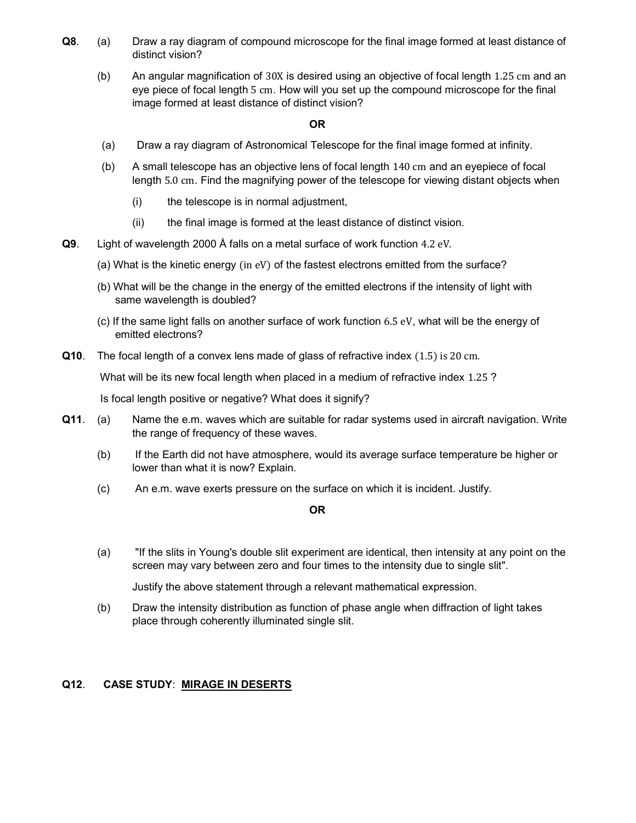- Q8. (a) Draw a ray diagram of compound microscope for the final image formed at least distance of distinct vision?
	- (b) An angular magnification of 30X is desired using an objective of focal length 1.25 cm and an eye piece of focal length 5 cm. How will you set up the compound microscope for the final image formed at least distance of distinct vision?

#### OR

- (a) Draw a ray diagram of Astronomical Telescope for the final image formed at infinity.
- (b) A small telescope has an objective lens of focal length 140 cm and an eyepiece of focal length 5.0 cm. Find the magnifying power of the telescope for viewing distant objects when
	- (i) the telescope is in normal adjustment,
	- (ii) the final image is formed at the least distance of distinct vision.
- Q9. Light of wavelength 2000 Å falls on a metal surface of work function 4.2 eV.
	- (a) What is the kinetic energy (in eV) of the fastest electrons emitted from the surface?
	- (b) What will be the change in the energy of the emitted electrons if the intensity of light with same wavelength is doubled?
	- (c) If the same light falls on another surface of work function 6.5 eV, what will be the energy of emitted electrons?
- Q10. The focal length of a convex lens made of glass of refractive index (1.5) is 20 cm.

What will be its new focal length when placed in a medium of refractive index 1.25 ?

Is focal length positive or negative? What does it signify?

- Q11. (a) Name the e.m. waves which are suitable for radar systems used in aircraft navigation. Write the range of frequency of these waves.
	- (b) If the Earth did not have atmosphere, would its average surface temperature be higher or lower than what it is now? Explain.
	- (c) An e.m. wave exerts pressure on the surface on which it is incident. Justify.

#### OR

 (a) "If the slits in Young's double slit experiment are identical, then intensity at any point on the screen may vary between zero and four times to the intensity due to single slit".

Justify the above statement through a relevant mathematical expression.

 (b) Draw the intensity distribution as function of phase angle when diffraction of light takes place through coherently illuminated single slit.

#### Q12. CASE STUDY: MIRAGE IN DESERTS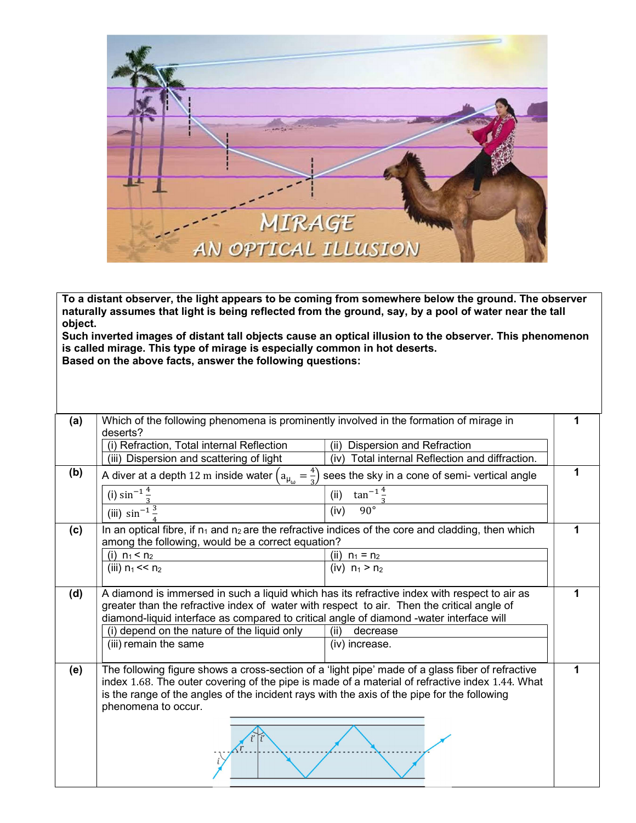

To a distant observer, the light appears to be coming from somewhere below the ground. The observer naturally assumes that light is being reflected from the ground, say, by a pool of water near the tall object.

Such inverted images of distant tall objects cause an optical illusion to the observer. This phenomenon is called mirage. This type of mirage is especially common in hot deserts. Based on the above facts, answer the following questions:

| (a) | Which of the following phenomena is prominently involved in the formation of mirage in<br>deserts?                                                                                                                                                                                                                        |                                                    |   |  |
|-----|---------------------------------------------------------------------------------------------------------------------------------------------------------------------------------------------------------------------------------------------------------------------------------------------------------------------------|----------------------------------------------------|---|--|
|     | (i) Refraction, Total internal Reflection                                                                                                                                                                                                                                                                                 | (ii)<br>Dispersion and Refraction                  |   |  |
|     | (iii) Dispersion and scattering of light                                                                                                                                                                                                                                                                                  | Total internal Reflection and diffraction.<br>(iv) |   |  |
| (b) | A diver at a depth 12 m inside water $\left(a_{\mu_{\omega}} = \frac{4}{3}\right)$<br>sees the sky in a cone of semi- vertical angle                                                                                                                                                                                      |                                                    | 1 |  |
|     | (i) $\sin^{-1} \frac{4}{5}$                                                                                                                                                                                                                                                                                               | $\tan^{-1} \frac{4}{x}$<br>(ii)                    |   |  |
|     | (iii) $\sin^{-1} \frac{3}{1}$                                                                                                                                                                                                                                                                                             | $90^{\circ}$<br>(iv)                               |   |  |
| (c) | In an optical fibre, if $n_1$ and $n_2$ are the refractive indices of the core and cladding, then which                                                                                                                                                                                                                   |                                                    |   |  |
|     | among the following, would be a correct equation?                                                                                                                                                                                                                                                                         |                                                    |   |  |
|     | (i) $n_1 < n_2$                                                                                                                                                                                                                                                                                                           | (ii) $n_1 = n_2$                                   |   |  |
|     | (iii) $n_1 < n_2$                                                                                                                                                                                                                                                                                                         | (iv) $n_1 > n_2$                                   |   |  |
| (d) | A diamond is immersed in such a liquid which has its refractive index with respect to air as<br>greater than the refractive index of water with respect to air. Then the critical angle of<br>diamond-liquid interface as compared to critical angle of diamond -water interface will                                     |                                                    |   |  |
|     | (i) depend on the nature of the liquid only                                                                                                                                                                                                                                                                               | (ii)<br>decrease                                   |   |  |
|     | (iii) remain the same                                                                                                                                                                                                                                                                                                     | (iv) increase.                                     |   |  |
| (e) | The following figure shows a cross-section of a 'light pipe' made of a glass fiber of refractive<br>index 1.68. The outer covering of the pipe is made of a material of refractive index 1.44. What<br>is the range of the angles of the incident rays with the axis of the pipe for the following<br>phenomena to occur. |                                                    |   |  |
|     |                                                                                                                                                                                                                                                                                                                           |                                                    |   |  |